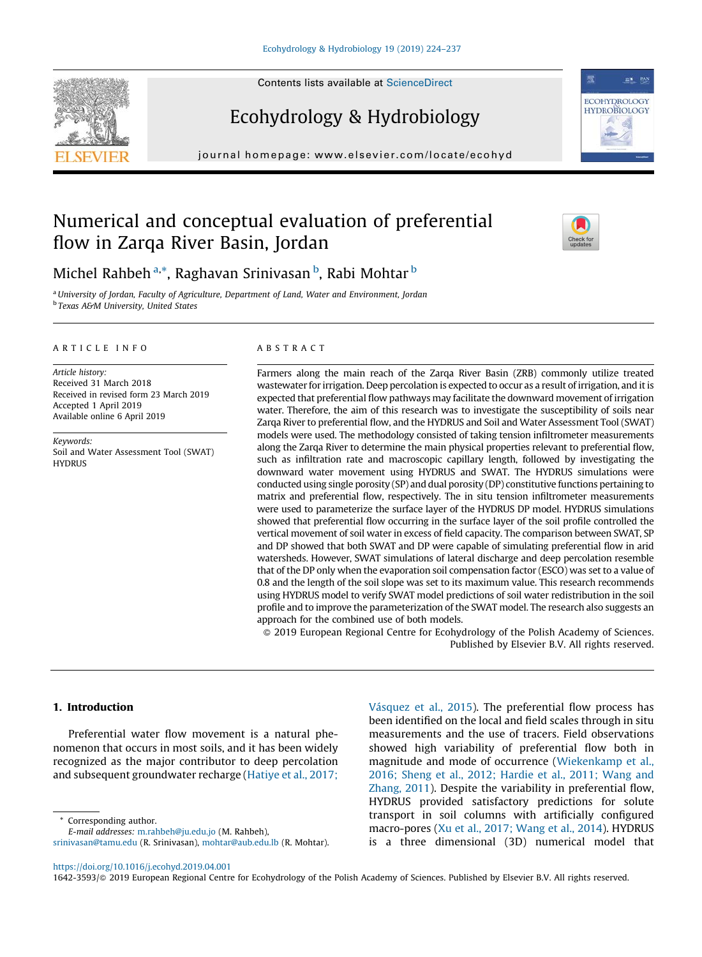Contents lists available at [ScienceDirect](http://www.sciencedirect.com/science/journal/16423593)

# Ecohydrology & Hydrobiology

journal homepage: www.elsevier.com/locate/ecohyd



## Numerical and conceptual evaluation of preferential flow in Zarqa River Basin, Jordan



Michel Rahbeh <sup>a,</sup>\*, Raghavan Srinivasan <sup>b</sup>, Rabi Mohtar <sup>b</sup>

<sup>a</sup>University of Jordan, Faculty of Agriculture, Department of Land, Water and Environment, Jordan **b Texas A&M University, United States** 

## ARTICLE INFO

Article history: Received 31 March 2018 Received in revised form 23 March 2019 Accepted 1 April 2019 Available online 6 April 2019

Keywords: Soil and Water Assessment Tool (SWAT) **HYDRUS** 

#### ABSTRACT

Farmers along the main reach of the Zarqa River Basin (ZRB) commonly utilize treated wastewater for irrigation. Deep percolation is expected to occur as a result of irrigation, and it is expected that preferential flow pathways may facilitate the downward movement of irrigation water. Therefore, the aim of this research was to investigate the susceptibility of soils near Zarqa River to preferential flow, and the HYDRUS and Soil and Water Assessment Tool (SWAT) models were used. The methodology consisted of taking tension infiltrometer measurements along the Zarqa River to determine the main physical properties relevant to preferential flow, such as infiltration rate and macroscopic capillary length, followed by investigating the downward water movement using HYDRUS and SWAT. The HYDRUS simulations were conducted using single porosity (SP) and dual porosity (DP) constitutive functions pertaining to matrix and preferential flow, respectively. The in situ tension infiltrometer measurements were used to parameterize the surface layer of the HYDRUS DP model. HYDRUS simulations showed that preferential flow occurring in the surface layer of the soil profile controlled the vertical movement of soil water in excess of field capacity. The comparison between SWAT, SP and DP showed that both SWAT and DP were capable of simulating preferential flow in arid watersheds. However, SWAT simulations of lateral discharge and deep percolation resemble that of the DP only when the evaporation soil compensation factor (ESCO) was set to a value of 0.8 and the length of the soil slope was set to its maximum value. This research recommends using HYDRUS model to verify SWAT model predictions of soil water redistribution in the soil profile and to improve the parameterization of the SWAT model. The research also suggests an approach for the combined use of both models.

- 2019 European Regional Centre for Ecohydrology of the Polish Academy of Sciences. Published by Elsevier B.V. All rights reserved.

#### 1. Introduction

Preferential water flow movement is a natural phenomenon that occurs in most soils, and it has been widely recognized as the major contributor to deep percolation and subsequent groundwater recharge ([Hatiye et al., 2017;](#page-12-0)

Corresponding author.

Vá[squez et al., 2015\)](#page-12-0). The preferential flow process has been identified on the local and field scales through in situ measurements and the use of tracers. Field observations showed high variability of preferential flow both in magnitude and mode of occurrence ([Wiekenkamp et al.,](#page-13-0) [2016; Sheng et al., 2012; Hardie et al., 2011; Wang and](#page-13-0) [Zhang, 2011\)](#page-13-0). Despite the variability in preferential flow, HYDRUS provided satisfactory predictions for solute transport in soil columns with artificially configured macro-pores [\(Xu et al., 2017; Wang et al., 2014](#page-13-0)). HYDRUS is a three dimensional (3D) numerical model that

<https://doi.org/10.1016/j.ecohyd.2019.04.001>

1642-3593/© 2019 European Regional Centre for Ecohydrology of the Polish Academy of Sciences. Published by Elsevier B.V. All rights reserved.



E-mail addresses: [m.rahbeh@ju.edu.jo](mailto:<ce:e-address id=) (M. Rahbeh), [srinivasan@tamu.edu](mailto:<ce:e-address id=) (R. Srinivasan), [mohtar@aub.edu.lb](mailto:<ce:e-address id=) (R. Mohtar).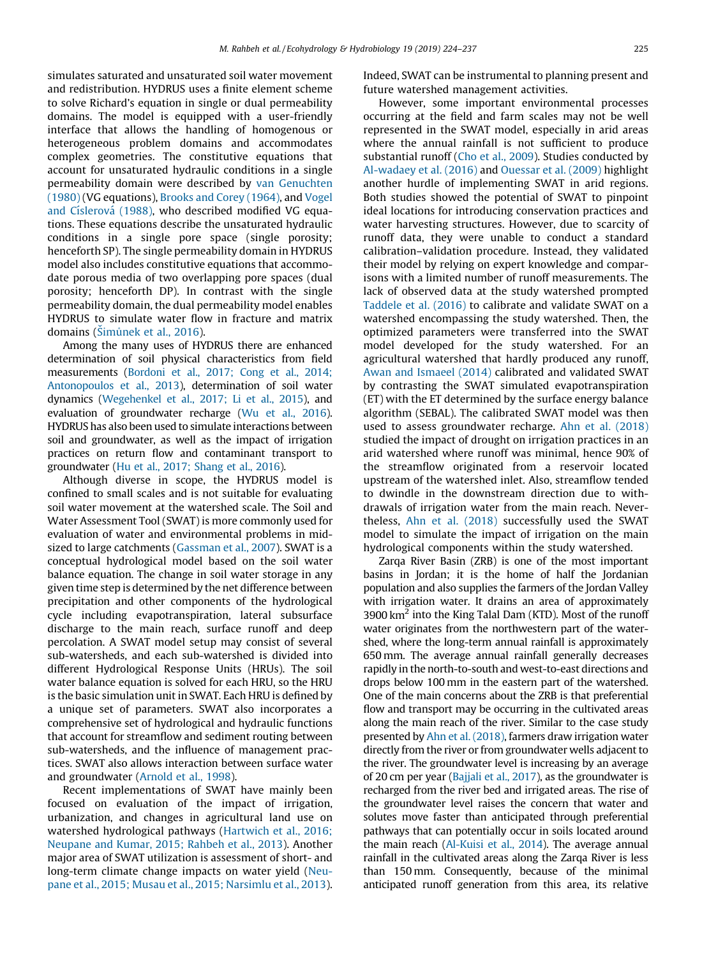simulates saturated and unsaturated soil water movement and redistribution. HYDRUS uses a finite element scheme to solve Richard's equation in single or dual permeability domains. The model is equipped with a user-friendly interface that allows the handling of homogenous or heterogeneous problem domains and accommodates complex geometries. The constitutive equations that account for unsaturated hydraulic conditions in a single permeability domain were described by [van Genuchten](#page-13-0) [\(1980\)](#page-13-0) (VG equations), [Brooks and Corey \(1964\),](#page-12-0) and [Vogel](#page-13-0) and Císlerová (1988), who described modified VG equations. These equations describe the unsaturated hydraulic conditions in a single pore space (single porosity; henceforth SP). The single permeability domain in HYDRUS model also includes constitutive equations that accommodate porous media of two overlapping pore spaces (dual porosity; henceforth DP). In contrast with the single permeability domain, the dual permeability model enables HYDRUS to simulate water flow in fracture and matrix domains (Simu[nek et al., 2016](#page-13-0)).

Among the many uses of HYDRUS there are enhanced determination of soil physical characteristics from field measurements [\(Bordoni et al., 2017; Cong et al., 2014;](#page-12-0) [Antonopoulos et al., 2013](#page-12-0)), determination of soil water dynamics [\(Wegehenkel et al., 2017; Li et al., 2015](#page-13-0)), and evaluation of groundwater recharge [\(Wu et al., 2016](#page-13-0)). HYDRUS has also been used to simulate interactions between soil and groundwater, as well as the impact of irrigation practices on return flow and contaminant transport to groundwater [\(Hu et al., 2017; Shang et al., 2016](#page-12-0)).

Although diverse in scope, the HYDRUS model is confined to small scales and is not suitable for evaluating soil water movement at the watershed scale. The Soil and Water Assessment Tool (SWAT) is more commonly used for evaluation of water and environmental problems in midsized to large catchments [\(Gassman et al., 2007\)](#page-12-0). SWAT is a conceptual hydrological model based on the soil water balance equation. The change in soil water storage in any given time step is determined by the net difference between precipitation and other components of the hydrological cycle including evapotranspiration, lateral subsurface discharge to the main reach, surface runoff and deep percolation. A SWAT model setup may consist of several sub-watersheds, and each sub-watershed is divided into different Hydrological Response Units (HRUs). The soil water balance equation is solved for each HRU, so the HRU is the basic simulation unit in SWAT. Each HRU is defined by a unique set of parameters. SWAT also incorporates a comprehensive set of hydrological and hydraulic functions that account for streamflow and sediment routing between sub-watersheds, and the influence of management practices. SWAT also allows interaction between surface water and groundwater [\(Arnold et al., 1998\)](#page-12-0).

Recent implementations of SWAT have mainly been focused on evaluation of the impact of irrigation, urbanization, and changes in agricultural land use on watershed hydrological pathways [\(Hartwich et al., 2016;](#page-12-0) [Neupane and Kumar, 2015; Rahbeh et al., 2013](#page-12-0)). Another major area of SWAT utilization is assessment of short- and long-term climate change impacts on water yield [\(Neu](#page-13-0)[pane et al., 2015; Musau et al., 2015; Narsimlu et al., 2013](#page-13-0)). Indeed, SWAT can be instrumental to planning present and future watershed management activities.

However, some important environmental processes occurring at the field and farm scales may not be well represented in the SWAT model, especially in arid areas where the annual rainfall is not sufficient to produce substantial runoff [\(Cho et al., 2009](#page-12-0)). Studies conducted by [Al-wadaey et al. \(2016\)](#page-12-0) and Ouessar [et al. \(2009\)](#page-13-0) highlight another hurdle of implementing SWAT in arid regions. Both studies showed the potential of SWAT to pinpoint ideal locations for introducing conservation practices and water harvesting structures. However, due to scarcity of runoff data, they were unable to conduct a standard calibration–validation procedure. Instead, they validated their model by relying on expert knowledge and comparisons with a limited number of runoff measurements. The lack of observed data at the study watershed prompted [Taddele et al. \(2016\)](#page-13-0) to calibrate and validate SWAT on a watershed encompassing the study watershed. Then, the optimized parameters were transferred into the SWAT model developed for the study watershed. For an agricultural watershed that hardly produced any runoff, [Awan and Ismaeel \(2014\)](#page-12-0) calibrated and validated SWAT by contrasting the SWAT simulated evapotranspiration (ET) with the ET determined by the surface energy balance algorithm (SEBAL). The calibrated SWAT model was then used to assess groundwater recharge. [Ahn et al. \(2018\)](#page-12-0) studied the impact of drought on irrigation practices in an arid watershed where runoff was minimal, hence 90% of the streamflow originated from a reservoir located upstream of the watershed inlet. Also, streamflow tended to dwindle in the downstream direction due to withdrawals of irrigation water from the main reach. Nevertheless, [Ahn et al. \(2018\)](#page-12-0) successfully used the SWAT model to simulate the impact of irrigation on the main hydrological components within the study watershed.

Zarqa River Basin (ZRB) is one of the most important basins in Jordan; it is the home of half the Jordanian population and also supplies the farmers of the Jordan Valley with irrigation water. It drains an area of approximately 3900  $\rm km^2$  into the King Talal Dam (KTD). Most of the runoff water originates from the northwestern part of the watershed, where the long-term annual rainfall is approximately 650 mm. The average annual rainfall generally decreases rapidly in the north-to-south and west-to-east directions and drops below 100 mm in the eastern part of the watershed. One of the main concerns about the ZRB is that preferential flow and transport may be occurring in the cultivated areas along the main reach of the river. Similar to the case study presented by [Ahn et al. \(2018\)](#page-12-0), farmers draw irrigation water directly from the river or from groundwater wells adjacent to the river. The groundwater level is increasing by an average of 20 cm per year [\(Bajjali et al., 2017](#page-12-0)), as the groundwater is recharged from the river bed and irrigated areas. The rise of the groundwater level raises the concern that water and solutes move faster than anticipated through preferential pathways that can potentially occur in soils located around the main reach [\(Al-Kuisi et al., 2014\)](#page-12-0). The average annual rainfall in the cultivated areas along the Zarqa River is less than 150 mm. Consequently, because of the minimal anticipated runoff generation from this area, its relative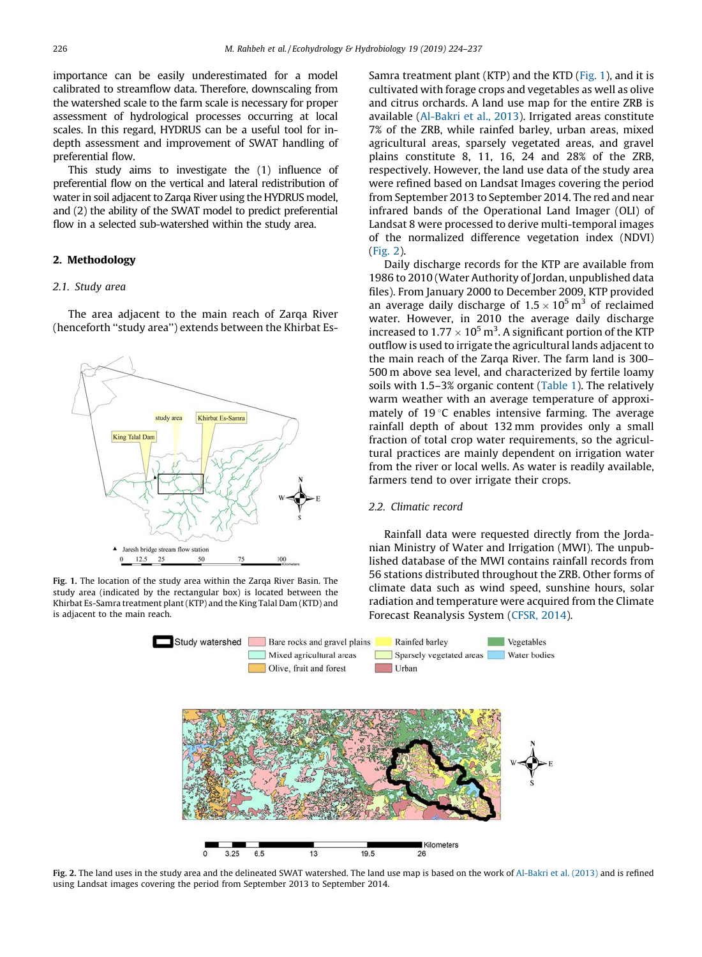importance can be easily underestimated for a model calibrated to streamflow data. Therefore, downscaling from the watershed scale to the farm scale is necessary for proper assessment of hydrological processes occurring at local scales. In this regard, HYDRUS can be a useful tool for indepth assessment and improvement of SWAT handling of preferential flow.

This study aims to investigate the (1) influence of preferential flow on the vertical and lateral redistribution of water in soil adjacent to Zarqa River using the HYDRUS model, and (2) the ability of the SWAT model to predict preferential flow in a selected sub-watershed within the study area.

## 2. Methodology

## 2.1. Study area

The area adjacent to the main reach of Zarqa River (henceforth ''study area'') extends between the Khirbat Es-



Fig. 1. The location of the study area within the Zarqa River Basin. The study area (indicated by the rectangular box) is located between the Khirbat Es-Samra treatment plant (KTP) and the King Talal Dam (KTD) and is adjacent to the main reach.

Samra treatment plant (KTP) and the KTD (Fig. 1), and it is cultivated with forage crops and vegetables as well as olive and citrus orchards. A land use map for the entire ZRB is available [\(Al-Bakri et al., 2013\)](#page-12-0). Irrigated areas constitute 7% of the ZRB, while rainfed barley, urban areas, mixed agricultural areas, sparsely vegetated areas, and gravel plains constitute 8, 11, 16, 24 and 28% of the ZRB, respectively. However, the land use data of the study area were refined based on Landsat Images covering the period from September 2013 to September 2014. The red and near infrared bands of the Operational Land Imager (OLI) of Landsat 8 were processed to derive multi-temporal images of the normalized difference vegetation index (NDVI) (Fig. 2).

Daily discharge records for the KTP are available from 1986 to 2010 (Water Authority of Jordan, unpublished data files). From January 2000 to December 2009, KTP provided an average daily discharge of  $1.5 \times 10^5 \,\mathrm{m}^3$  of reclaimed water. However, in 2010 the average daily discharge increased to  $1.77 \times 10^5 \,\text{m}^3$ . A significant portion of the KTP outflow is used to irrigate the agricultural lands adjacent to the main reach of the Zarqa River. The farm land is 300– 500 m above sea level, and characterized by fertile loamy soils with 1.5–3% organic content ([Table 1\)](#page-3-0). The relatively warm weather with an average temperature of approximately of  $19^{\circ}$ C enables intensive farming. The average rainfall depth of about 132 mm provides only a small fraction of total crop water requirements, so the agricultural practices are mainly dependent on irrigation water from the river or local wells. As water is readily available, farmers tend to over irrigate their crops.

## 2.2. Climatic record

Rainfall data were requested directly from the Jordanian Ministry of Water and Irrigation (MWI). The unpublished database of the MWI contains rainfall records from 56 stations distributed throughout the ZRB. Other forms of climate data such as wind speed, sunshine hours, solar radiation and temperature were acquired from the Climate Forecast Reanalysis System ([CFSR, 2014](#page-12-0)).



Fig. 2. The land uses in the study area and the delineated SWAT watershed. The land use map is based on the work of [Al-Bakri et al. \(2013\)](#page-12-0) and is refined using Landsat images covering the period from September 2013 to September 2014.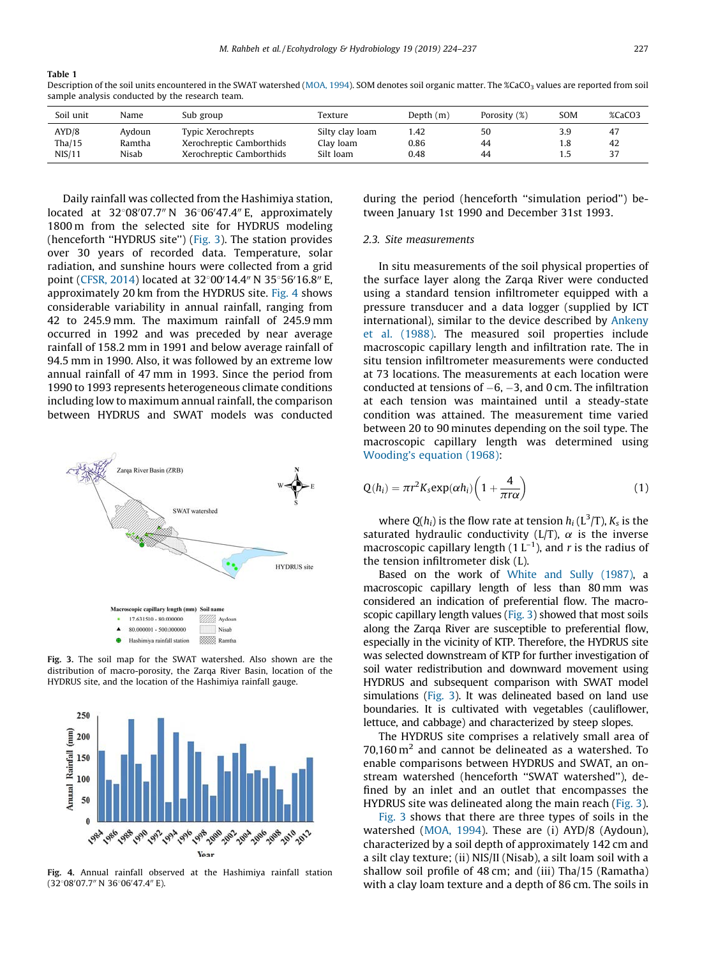## <span id="page-3-0"></span>Table 1

Description of the soil units encountered in the SWAT watershed [\(MOA, 1994\)](#page-12-0). SOM denotes soil organic matter. The %CaCO<sub>3</sub> values are reported from soil sample analysis conducted by the research team.

| Soil unit | Name   | Sub group                | Texture         | Depth $(m)$ | Porosity (%) | SOM | %CaCO3 |
|-----------|--------|--------------------------|-----------------|-------------|--------------|-----|--------|
| AYD/8     | Aydoun | Typic Xerochrepts        | Silty clay loam | l.42        | 50           | 3.9 | 47     |
| Tha/15    | Ramtha | Xerochreptic Camborthids | Clay loam       | 0.86        | 44           | 1.8 | 42     |
| NIS/11    | Nisab  | Xerochreptic Camborthids | Silt loam       | 0.48        | 44           | 1.5 | 37     |

Daily rainfall was collected from the Hashimiya station, located at 32°08′07.7″N 36°06′47.4″E, approximately 1800 m from the selected site for HYDRUS modeling (henceforth ''HYDRUS site'') (Fig. 3). The station provides over 30 years of recorded data. Temperature, solar radiation, and sunshine hours were collected from a grid point ([CFSR, 2014\)](#page-12-0) located at 32°00'14.4" N 35°56'16.8" E, approximately 20 km from the HYDRUS site. Fig. 4 shows considerable variability in annual rainfall, ranging from 42 to 245.9 mm. The maximum rainfall of 245.9 mm occurred in 1992 and was preceded by near average rainfall of 158.2 mm in 1991 and below average rainfall of 94.5 mm in 1990. Also, it was followed by an extreme low annual rainfall of 47 mm in 1993. Since the period from 1990 to 1993 represents heterogeneous climate conditions including low to maximum annual rainfall, the comparison between HYDRUS and SWAT models was conducted



Fig. 3. The soil map for the SWAT watershed. Also shown are the distribution of macro-porosity, the Zarqa River Basin, location of the HYDRUS site, and the location of the Hashimiya rainfall gauge.



Fig. 4. Annual rainfall observed at the Hashimiya rainfall station (32°08′07.7″ N 36°06′47.4″ E).

during the period (henceforth ''simulation period'') between January 1st 1990 and December 31st 1993.

## 2.3. Site measurements

In situ measurements of the soil physical properties of the surface layer along the Zarqa River were conducted using a standard tension infiltrometer equipped with a pressure transducer and a data logger (supplied by ICT international), similar to the device described by [Ankeny](#page-12-0) [et al. \(1988\).](#page-12-0) The measured soil properties include macroscopic capillary length and infiltration rate. The in situ tension infiltrometer measurements were conducted at 73 locations. The measurements at each location were conducted at tensions of  $-6$ ,  $-3$ , and 0 cm. The infiltration at each tension was maintained until a steady-state condition was attained. The measurement time varied between 20 to 90 minutes depending on the soil type. The macroscopic capillary length was determined using [Wooding's equation \(1968\)](#page-13-0):

$$
Q(h_i) = \pi r^2 K_s \exp(\alpha h_i) \left(1 + \frac{4}{\pi r \alpha}\right) \tag{1}
$$

where  $Q(h_i)$  is the flow rate at tension  $h_i$  (L<sup>3</sup>/T),  $K_s$  is the saturated hydraulic conductivity ( $L/T$ ),  $\alpha$  is the inverse macroscopic capillary length  $(1 L^{-1})$ , and r is the radius of the tension infiltrometer disk (L).

Based on the work of [White and Sully \(1987\),](#page-13-0) a macroscopic capillary length of less than 80 mm was considered an indication of preferential flow. The macroscopic capillary length values (Fig. 3) showed that most soils along the Zarqa River are susceptible to preferential flow, especially in the vicinity of KTP. Therefore, the HYDRUS site was selected downstream of KTP for further investigation of soil water redistribution and downward movement using HYDRUS and subsequent comparison with SWAT model simulations (Fig. 3). It was delineated based on land use boundaries. It is cultivated with vegetables (cauliflower, lettuce, and cabbage) and characterized by steep slopes.

The HYDRUS site comprises a relatively small area of  $70,160$  m<sup>2</sup> and cannot be delineated as a watershed. To enable comparisons between HYDRUS and SWAT, an onstream watershed (henceforth ''SWAT watershed''), defined by an inlet and an outlet that encompasses the HYDRUS site was delineated along the main reach (Fig. 3).

Fig. 3 shows that there are three types of soils in the watershed [\(MOA, 1994\)](#page-12-0). These are (i) AYD/8 (Aydoun), characterized by a soil depth of approximately 142 cm and a silt clay texture; (ii) NIS/II (Nisab), a silt loam soil with a shallow soil profile of 48 cm; and (iii) Tha/15 (Ramatha) with a clay loam texture and a depth of 86 cm. The soils in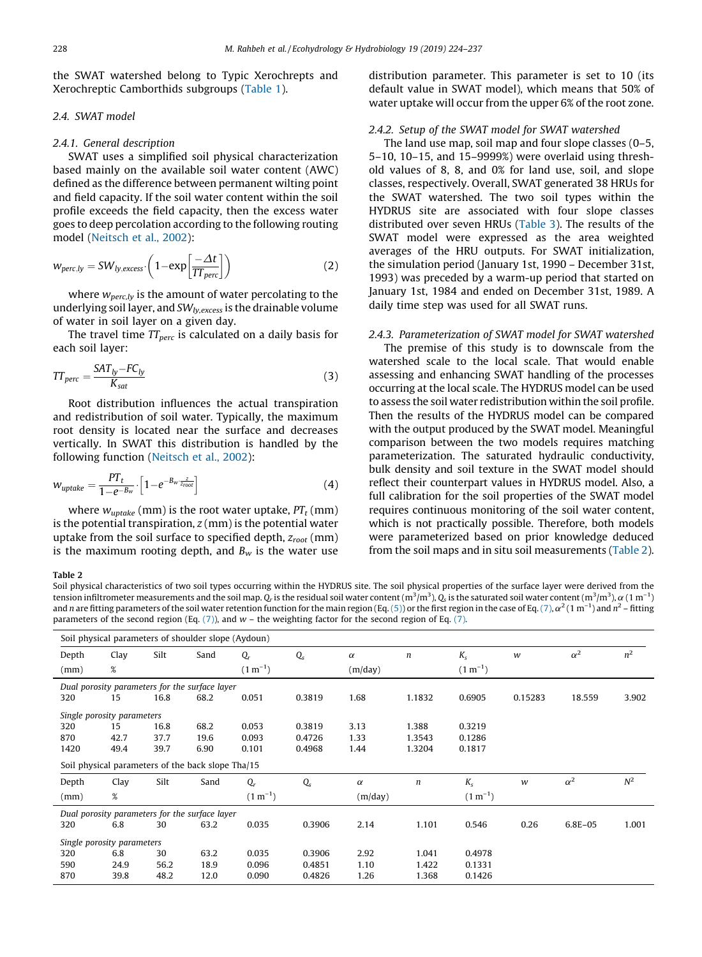<span id="page-4-0"></span>the SWAT watershed belong to Typic Xerochrepts and Xerochreptic Camborthids subgroups [\(Table 1](#page-3-0)).

## 2.4. SWAT model

## 2.4.1. General description

SWAT uses a simplified soil physical characterization based mainly on the available soil water content (AWC) defined as the difference between permanent wilting point and field capacity. If the soil water content within the soil profile exceeds the field capacity, then the excess water goes to deep percolation according to the following routing model [\(Neitsch et al., 2002](#page-12-0)):

$$
w_{perc,ly} = SW_{ly,excess} \cdot \left(1 - \exp\left[\frac{-\Delta t}{TT_{perc}}\right]\right)
$$
 (2)

where  $w_{perc,ly}$  is the amount of water percolating to the underlying soil layer, and  $SW<sub>lv,excess</sub>$  is the drainable volume of water in soil layer on a given day.

The travel time  $TT_{perc}$  is calculated on a daily basis for each soil layer:

$$
TT_{perc} = \frac{SAT_{ly} - FC_{ly}}{K_{sat}}
$$
 (3)

Root distribution influences the actual transpiration and redistribution of soil water. Typically, the maximum root density is located near the surface and decreases vertically. In SWAT this distribution is handled by the following function ([Neitsch et al., 2002](#page-12-0)):

$$
w_{\text{update}} = \frac{PT_t}{1 - e^{-B_w} \cdot \left[1 - e^{-B_w \frac{z}{z_{\text{root}}}}\right]} \tag{4}
$$

where  $w_{\text{update}}$  (mm) is the root water uptake,  $PT_t$  (mm) is the potential transpiration,  $z$  (mm) is the potential water uptake from the soil surface to specified depth,  $z_{root}$  (mm) is the maximum rooting depth, and  $B_w$  is the water use

distribution parameter. This parameter is set to 10 (its default value in SWAT model), which means that 50% of water uptake will occur from the upper 6% of the root zone.

## 2.4.2. Setup of the SWAT model for SWAT watershed

The land use map, soil map and four slope classes (0–5, 5–10, 10–15, and 15–9999%) were overlaid using threshold values of 8, 8, and 0% for land use, soil, and slope classes, respectively. Overall, SWAT generated 38 HRUs for the SWAT watershed. The two soil types within the HYDRUS site are associated with four slope classes distributed over seven HRUs ([Table 3](#page-9-0)). The results of the SWAT model were expressed as the area weighted averages of the HRU outputs. For SWAT initialization, the simulation period (January 1st, 1990 – December 31st, 1993) was preceded by a warm-up period that started on January 1st, 1984 and ended on December 31st, 1989. A daily time step was used for all SWAT runs.

## 2.4.3. Parameterization of SWAT model for SWAT watershed

The premise of this study is to downscale from the watershed scale to the local scale. That would enable assessing and enhancing SWAT handling of the processes occurring at the local scale. The HYDRUS model can be used to assess the soil water redistribution within the soil profile. Then the results of the HYDRUS model can be compared with the output produced by the SWAT model. Meaningful comparison between the two models requires matching parameterization. The saturated hydraulic conductivity, bulk density and soil texture in the SWAT model should reflect their counterpart values in HYDRUS model. Also, a full calibration for the soil properties of the SWAT model requires continuous monitoring of the soil water content, which is not practically possible. Therefore, both models were parameterized based on prior knowledge deduced from the soil maps and in situ soil measurements (Table 2).

#### Table 2

Soil physical characteristics of two soil types occurring within the HYDRUS site. The soil physical properties of the surface layer were derived from the tension infiltrometer measurements and the soil map.  $Q_r$  is the residual soil water content (m $^3/\rm{m}^3$ ),  $Q_s$  is the saturated soil water content (m $^3/\rm{m}^3$ ),  $\alpha$  ( 1 m $^{-1}$ ) and n are fitting parameters of the soil water retention function for the main region (Eq. [\(5\)\)](#page-5-0) or the first region in the case of Eq. [\(7\)](#page-5-0),  $\alpha^2$  (1 m<sup>-1</sup>) and  $n^2$  – fitting parameters of the second region (Eq.  $(7)$ ), and  $w$  – the weighting factor for the second region of Eq.  $(7)$ .

| Soil physical parameters of shoulder slope (Aydoun) |      |      |      |              |             |          |                  |              |         |            |       |
|-----------------------------------------------------|------|------|------|--------------|-------------|----------|------------------|--------------|---------|------------|-------|
| Depth                                               | Clay | Silt | Sand | $Q_r$        | $Q_{s}$     | $\alpha$ | n                | $K_{s}$      | w       | $\alpha^2$ | $n^2$ |
| (mm)                                                | $\%$ |      |      | $(1 m^{-1})$ |             | (m/day)  |                  | $(1 m^{-1})$ |         |            |       |
| Dual porosity parameters for the surface layer      |      |      |      |              |             |          |                  |              |         |            |       |
| 320                                                 | 15   | 16.8 | 68.2 | 0.051        | 0.3819      | 1.68     | 1.1832           | 0.6905       | 0.15283 | 18.559     | 3.902 |
| Single porosity parameters                          |      |      |      |              |             |          |                  |              |         |            |       |
| 320                                                 | 15   | 16.8 | 68.2 | 0.053        | 0.3819      | 3.13     | 1.388            | 0.3219       |         |            |       |
| 870                                                 | 42.7 | 37.7 | 19.6 | 0.093        | 0.4726      | 1.33     | 1.3543           | 0.1286       |         |            |       |
| 1420                                                | 49.4 | 39.7 | 6.90 | 0.101        | 0.4968      | 1.44     | 1.3204           | 0.1817       |         |            |       |
| Soil physical parameters of the back slope Tha/15   |      |      |      |              |             |          |                  |              |         |            |       |
| Depth                                               | Clay | Silt | Sand | $Q_r$        | $Q_{\rm s}$ | $\alpha$ | $\boldsymbol{n}$ | $K_{s}$      | w       | $\alpha^2$ | $N^2$ |
| (mm)                                                | %    |      |      | $(1 m^{-1})$ |             | (m/day)  |                  | $(1 m^{-1})$ |         |            |       |
| Dual porosity parameters for the surface layer      |      |      |      |              |             |          |                  |              |         |            |       |
|                                                     |      |      |      |              |             |          |                  |              |         |            |       |
| 320                                                 | 6.8  | 30   | 63.2 | 0.035        | 0.3906      | 2.14     | 1.101            | 0.546        | 0.26    | 6.8E-05    | 1.001 |
| Single porosity parameters                          |      |      |      |              |             |          |                  |              |         |            |       |
| 320                                                 | 6.8  | 30   | 63.2 | 0.035        | 0.3906      | 2.92     | 1.041            | 0.4978       |         |            |       |
| 590                                                 | 24.9 | 56.2 | 18.9 | 0.096        | 0.4851      | 1.10     | 1.422            | 0.1331       |         |            |       |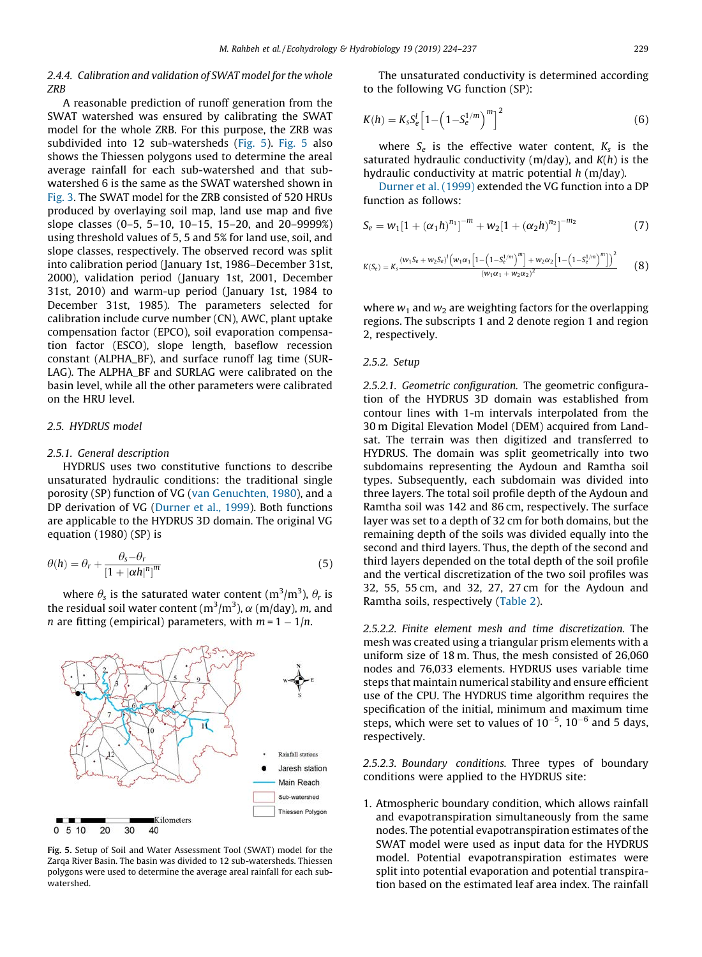## <span id="page-5-0"></span>2.4.4. Calibration and validation of SWAT model for the whole ZRB

A reasonable prediction of runoff generation from the SWAT watershed was ensured by calibrating the SWAT model for the whole ZRB. For this purpose, the ZRB was subdivided into 12 sub-watersheds (Fig. 5). Fig. 5 also shows the Thiessen polygons used to determine the areal average rainfall for each sub-watershed and that subwatershed 6 is the same as the SWAT watershed shown in [Fig. 3](#page-3-0). The SWAT model for the ZRB consisted of 520 HRUs produced by overlaying soil map, land use map and five slope classes (0–5, 5–10, 10–15, 15–20, and 20–9999%) using threshold values of 5, 5 and 5% for land use, soil, and slope classes, respectively. The observed record was split into calibration period (January 1st, 1986–December 31st, 2000), validation period (January 1st, 2001, December 31st, 2010) and warm-up period (January 1st, 1984 to December 31st, 1985). The parameters selected for calibration include curve number (CN), AWC, plant uptake compensation factor (EPCO), soil evaporation compensation factor (ESCO), slope length, baseflow recession constant (ALPHA\_BF), and surface runoff lag time (SUR-LAG). The ALPHA\_BF and SURLAG were calibrated on the basin level, while all the other parameters were calibrated on the HRU level.

## 2.5. HYDRUS model

#### 2.5.1. General description

HYDRUS uses two constitutive functions to describe unsaturated hydraulic conditions: the traditional single porosity (SP) function of VG ([van Genuchten, 1980\)](#page-13-0), and a DP derivation of VG [\(Durner et al., 1999\)](#page-12-0). Both functions are applicable to the HYDRUS 3D domain. The original VG equation (1980) (SP) is

$$
\theta(h) = \theta_r + \frac{\theta_s - \theta_r}{\left[1 + |\alpha h|\right]^m} \tag{5}
$$

where  $\theta_{\text{s}}$  is the saturated water content (m $^3\!/\text{m}^3$ ),  $\theta_{\text{r}}$  is the residual soil water content (m $^{3}/$ m $^{3}$ ),  $\alpha$  (m/day),  $m$ , and *n* are fitting (empirical) parameters, with  $m = 1 - 1/n$ .



Fig. 5. Setup of Soil and Water Assessment Tool (SWAT) model for the Zarqa River Basin. The basin was divided to 12 sub-watersheds. Thiessen polygons were used to determine the average areal rainfall for each subwatershed.

The unsaturated conductivity is determined according to the following VG function (SP):

$$
K(h) = K_{s}S_{e}^{l}\left[1 - \left(1 - S_{e}^{1/m}\right)^{m}\right]^{2}
$$
\n(6)

where  $S_e$  is the effective water content,  $K_s$  is the saturated hydraulic conductivity ( $m/day$ ), and  $K(h)$  is the hydraulic conductivity at matric potential  $h$  (m/day).

[Durner et al. \(1999\)](#page-12-0) extended the VG function into a DP function as follows:

$$
S_e = w_1[1 + (\alpha_1 h)^{n_1}]^{-m} + w_2[1 + (\alpha_2 h)^{n_2}]^{-m_2}
$$
 (7)

$$
K(S_e) = K_s \frac{(w_1 S_e + w_2 S_e)^l (w_1 \alpha_1 \left[1 - \left(1 - S_e^{1/m}\right)^m\right] + w_2 \alpha_2 \left[1 - \left(1 - S_e^{1/m}\right)^m\right]\right)^2}{(w_1 \alpha_1 + w_2 \alpha_2)^2}
$$
(8)

where  $w_1$  and  $w_2$  are weighting factors for the overlapping regions. The subscripts 1 and 2 denote region 1 and region 2, respectively.

## 2.5.2. Setup

2.5.2.1. Geometric configuration. The geometric configuration of the HYDRUS 3D domain was established from contour lines with 1-m intervals interpolated from the 30 m Digital Elevation Model (DEM) acquired from Landsat. The terrain was then digitized and transferred to HYDRUS. The domain was split geometrically into two subdomains representing the Aydoun and Ramtha soil types. Subsequently, each subdomain was divided into three layers. The total soil profile depth of the Aydoun and Ramtha soil was 142 and 86 cm, respectively. The surface layer was set to a depth of 32 cm for both domains, but the remaining depth of the soils was divided equally into the second and third layers. Thus, the depth of the second and third layers depended on the total depth of the soil profile and the vertical discretization of the two soil profiles was 32, 55, 55 cm, and 32, 27, 27 cm for the Aydoun and Ramtha soils, respectively ([Table 2](#page-4-0)).

2.5.2.2. Finite element mesh and time discretization. The mesh was created using a triangular prism elements with a uniform size of 18 m. Thus, the mesh consisted of 26,060 nodes and 76,033 elements. HYDRUS uses variable time steps that maintain numerical stability and ensure efficient use of the CPU. The HYDRUS time algorithm requires the specification of the initial, minimum and maximum time steps, which were set to values of  $10^{-5}$ ,  $10^{-6}$  and 5 days, respectively.

2.5.2.3. Boundary conditions. Three types of boundary conditions were applied to the HYDRUS site:

1. Atmospheric boundary condition, which allows rainfall and evapotranspiration simultaneously from the same nodes. The potential evapotranspiration estimates of the SWAT model were used as input data for the HYDRUS model. Potential evapotranspiration estimates were split into potential evaporation and potential transpiration based on the estimated leaf area index. The rainfall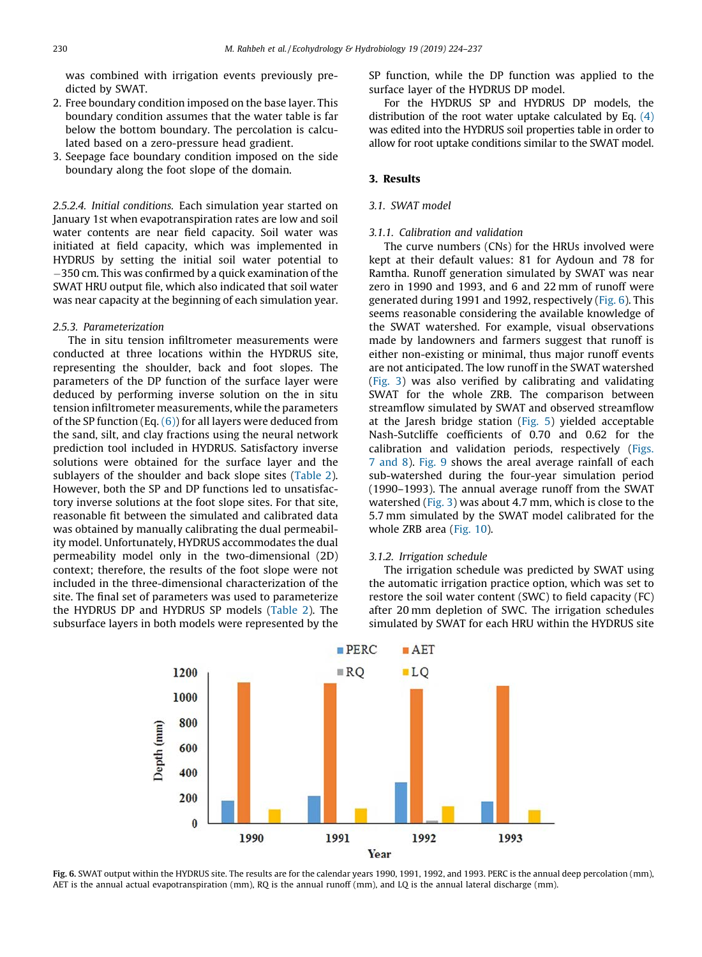was combined with irrigation events previously predicted by SWAT.

- 2. Free boundary condition imposed on the base layer. This boundary condition assumes that the water table is far below the bottom boundary. The percolation is calculated based on a zero-pressure head gradient.
- 3. Seepage face boundary condition imposed on the side boundary along the foot slope of the domain.

2.5.2.4. Initial conditions. Each simulation year started on January 1st when evapotranspiration rates are low and soil water contents are near field capacity. Soil water was initiated at field capacity, which was implemented in HYDRUS by setting the initial soil water potential to 350 cm. This was confirmed by a quick examination of the SWAT HRU output file, which also indicated that soil water was near capacity at the beginning of each simulation year.

## 2.5.3. Parameterization

The in situ tension infiltrometer measurements were conducted at three locations within the HYDRUS site, representing the shoulder, back and foot slopes. The parameters of the DP function of the surface layer were deduced by performing inverse solution on the in situ tension infiltrometer measurements, while the parameters of the SP function (Eq.  $(6)$ ) for all layers were deduced from the sand, silt, and clay fractions using the neural network prediction tool included in HYDRUS. Satisfactory inverse solutions were obtained for the surface layer and the sublayers of the shoulder and back slope sites ([Table 2](#page-4-0)). However, both the SP and DP functions led to unsatisfactory inverse solutions at the foot slope sites. For that site, reasonable fit between the simulated and calibrated data was obtained by manually calibrating the dual permeability model. Unfortunately, HYDRUS accommodates the dual permeability model only in the two-dimensional (2D) context; therefore, the results of the foot slope were not included in the three-dimensional characterization of the site. The final set of parameters was used to parameterize the HYDRUS DP and HYDRUS SP models [\(Table 2](#page-4-0)). The subsurface layers in both models were represented by the SP function, while the DP function was applied to the surface layer of the HYDRUS DP model.

For the HYDRUS SP and HYDRUS DP models, the distribution of the root water uptake calculated by Eq.  $(4)$ was edited into the HYDRUS soil properties table in order to allow for root uptake conditions similar to the SWAT model.

## 3. Results

## 3.1. SWAT model

## 3.1.1. Calibration and validation

The curve numbers (CNs) for the HRUs involved were kept at their default values: 81 for Aydoun and 78 for Ramtha. Runoff generation simulated by SWAT was near zero in 1990 and 1993, and 6 and 22 mm of runoff were generated during 1991 and 1992, respectively (Fig. 6). This seems reasonable considering the available knowledge of the SWAT watershed. For example, visual observations made by landowners and farmers suggest that runoff is either non-existing or minimal, thus major runoff events are not anticipated. The low runoff in the SWAT watershed [\(Fig. 3\)](#page-3-0) was also verified by calibrating and validating SWAT for the whole ZRB. The comparison between streamflow simulated by SWAT and observed streamflow at the Jaresh bridge station ([Fig. 5](#page-5-0)) yielded acceptable Nash-Sutcliffe coefficients of 0.70 and 0.62 for the calibration and validation periods, respectively [\(Figs.](#page-7-0) [7 and 8\)](#page-7-0). [Fig. 9](#page-8-0) shows the areal average rainfall of each sub-watershed during the four-year simulation period (1990–1993). The annual average runoff from the SWAT watershed [\(Fig. 3](#page-3-0)) was about 4.7 mm, which is close to the 5.7 mm simulated by the SWAT model calibrated for the whole ZRB area [\(Fig. 10\)](#page-8-0).

#### 3.1.2. Irrigation schedule

The irrigation schedule was predicted by SWAT using the automatic irrigation practice option, which was set to restore the soil water content (SWC) to field capacity (FC) after 20 mm depletion of SWC. The irrigation schedules simulated by SWAT for each HRU within the HYDRUS site



Fig. 6. SWAT output within the HYDRUS site. The results are for the calendar years 1990, 1991, 1992, and 1993. PERC is the annual deep percolation (mm), AET is the annual actual evapotranspiration (mm), RQ is the annual runoff (mm), and LQ is the annual lateral discharge (mm).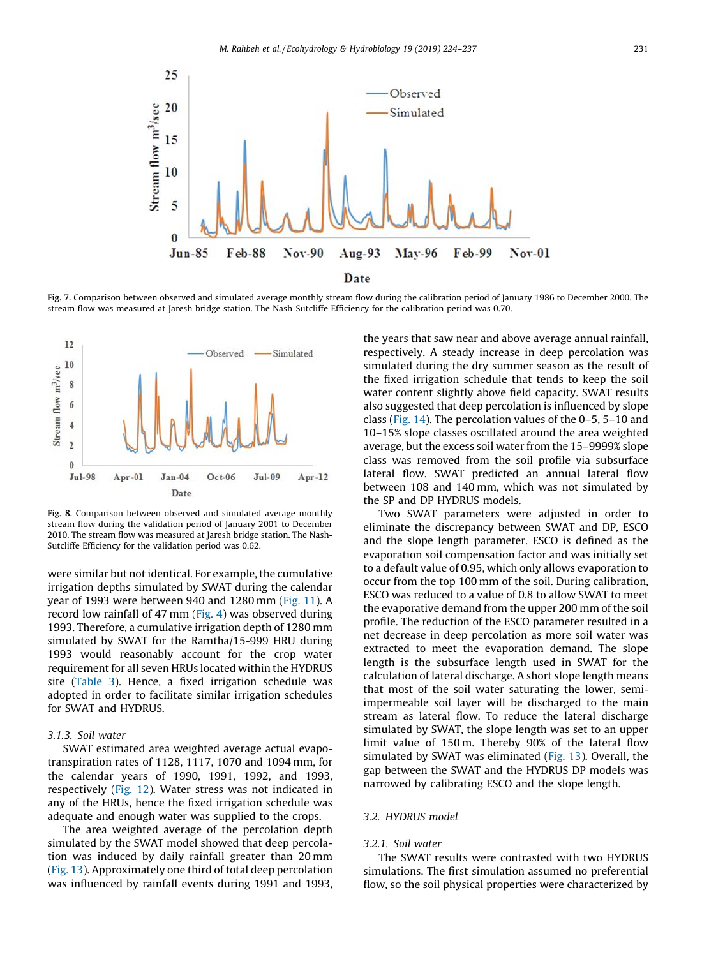<span id="page-7-0"></span>

Fig. 7. Comparison between observed and simulated average monthly stream flow during the calibration period of January 1986 to December 2000. The stream flow was measured at Jaresh bridge station. The Nash-Sutcliffe Efficiency for the calibration period was 0.70.



Fig. 8. Comparison between observed and simulated average monthly stream flow during the validation period of January 2001 to December 2010. The stream flow was measured at Jaresh bridge station. The Nash-Sutcliffe Efficiency for the validation period was 0.62.

were similar but not identical. For example, the cumulative irrigation depths simulated by SWAT during the calendar year of 1993 were between 940 and 1280 mm ([Fig. 11](#page-9-0)). A record low rainfall of 47 mm [\(Fig. 4\)](#page-3-0) was observed during 1993. Therefore, a cumulative irrigation depth of 1280 mm simulated by SWAT for the Ramtha/15-999 HRU during 1993 would reasonably account for the crop water requirement for all seven HRUs located within the HYDRUS site ([Table 3](#page-9-0)). Hence, a fixed irrigation schedule was adopted in order to facilitate similar irrigation schedules for SWAT and HYDRUS.

#### 3.1.3. Soil water

SWAT estimated area weighted average actual evapotranspiration rates of 1128, 1117, 1070 and 1094 mm, for the calendar years of 1990, 1991, 1992, and 1993, respectively [\(Fig. 12\)](#page-9-0). Water stress was not indicated in any of the HRUs, hence the fixed irrigation schedule was adequate and enough water was supplied to the crops.

The area weighted average of the percolation depth simulated by the SWAT model showed that deep percolation was induced by daily rainfall greater than 20 mm ([Fig. 13\)](#page-10-0). Approximately one third of total deep percolation was influenced by rainfall events during 1991 and 1993,

the years that saw near and above average annual rainfall, respectively. A steady increase in deep percolation was simulated during the dry summer season as the result of the fixed irrigation schedule that tends to keep the soil water content slightly above field capacity. SWAT results also suggested that deep percolation is influenced by slope class [\(Fig. 14](#page-10-0)). The percolation values of the 0–5, 5–10 and 10–15% slope classes oscillated around the area weighted average, but the excess soil water from the 15–9999% slope class was removed from the soil profile via subsurface lateral flow. SWAT predicted an annual lateral flow between 108 and 140 mm, which was not simulated by the SP and DP HYDRUS models.

Two SWAT parameters were adjusted in order to eliminate the discrepancy between SWAT and DP, ESCO and the slope length parameter. ESCO is defined as the evaporation soil compensation factor and was initially set to a default value of 0.95, which only allows evaporation to occur from the top 100 mm of the soil. During calibration, ESCO was reduced to a value of 0.8 to allow SWAT to meet the evaporative demand from the upper 200 mm of the soil profile. The reduction of the ESCO parameter resulted in a net decrease in deep percolation as more soil water was extracted to meet the evaporation demand. The slope length is the subsurface length used in SWAT for the calculation of lateral discharge. A short slope length means that most of the soil water saturating the lower, semiimpermeable soil layer will be discharged to the main stream as lateral flow. To reduce the lateral discharge simulated by SWAT, the slope length was set to an upper limit value of 150 m. Thereby 90% of the lateral flow simulated by SWAT was eliminated [\(Fig. 13\)](#page-10-0). Overall, the gap between the SWAT and the HYDRUS DP models was narrowed by calibrating ESCO and the slope length.

## 3.2. HYDRUS model

#### 3.2.1. Soil water

The SWAT results were contrasted with two HYDRUS simulations. The first simulation assumed no preferential flow, so the soil physical properties were characterized by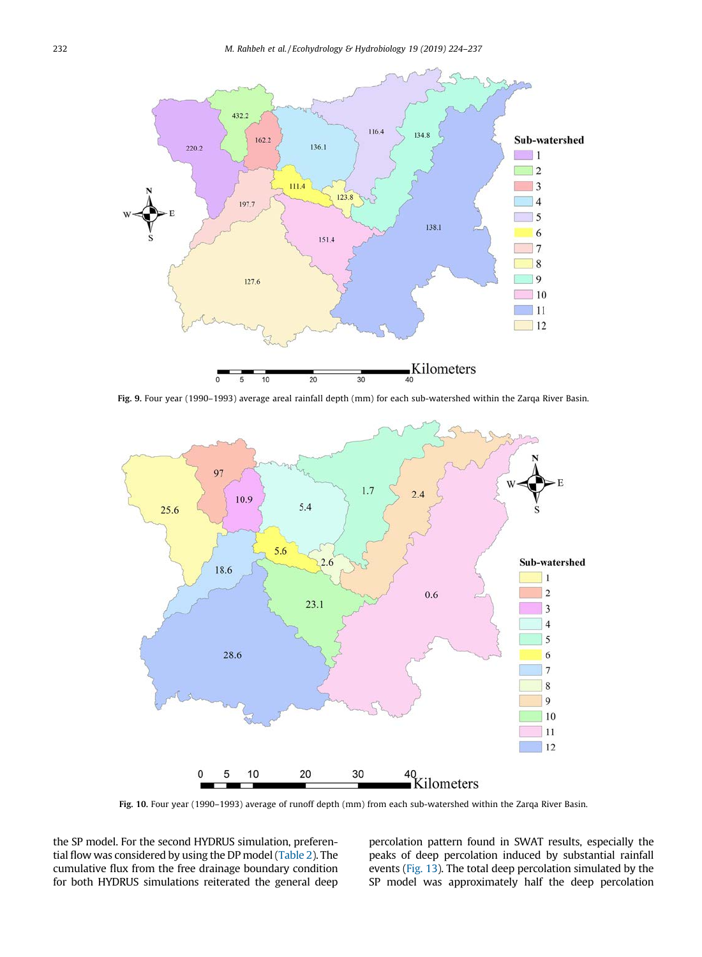<span id="page-8-0"></span>

Fig. 9. Four year (1990–1993) average areal rainfall depth (mm) for each sub-watershed within the Zarqa River Basin.



Fig. 10. Four year (1990–1993) average of runoff depth (mm) from each sub-watershed within the Zarqa River Basin.

the SP model. For the second HYDRUS simulation, preferential flow was considered by using the DP model [\(Table 2](#page-4-0)). The cumulative flux from the free drainage boundary condition for both HYDRUS simulations reiterated the general deep

percolation pattern found in SWAT results, especially the peaks of deep percolation induced by substantial rainfall events [\(Fig. 13](#page-10-0)). The total deep percolation simulated by the SP model was approximately half the deep percolation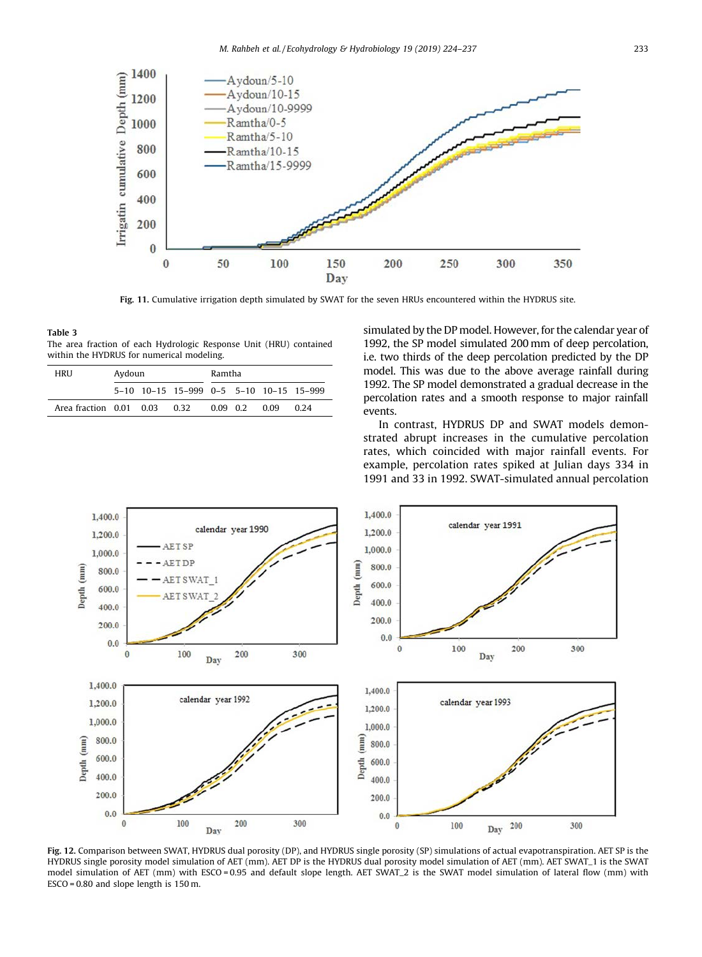<span id="page-9-0"></span>

Fig. 11. Cumulative irrigation depth simulated by SWAT for the seven HRUs encountered within the HYDRUS site.

#### Table 3 The area fraction of each Hydrologic Response Unit (HRU) contained within the HYDRUS for numerical modeling.

| HRU                     | Aydoun |  | Ramtha                                  |        |  |      |      |
|-------------------------|--------|--|-----------------------------------------|--------|--|------|------|
|                         |        |  | 5-10 10-15 15-999 0-5 5-10 10-15 15-999 |        |  |      |      |
| Area fraction 0.01 0.03 |        |  | 0.32                                    | 009 02 |  | 0.09 | 0.24 |

simulated by the DP model. However, for the calendar year of 1992, the SP model simulated 200 mm of deep percolation, i.e. two thirds of the deep percolation predicted by the DP model. This was due to the above average rainfall during 1992. The SP model demonstrated a gradual decrease in the percolation rates and a smooth response to major rainfall events.

In contrast, HYDRUS DP and SWAT models demonstrated abrupt increases in the cumulative percolation rates, which coincided with major rainfall events. For example, percolation rates spiked at Julian days 334 in 1991 and 33 in 1992. SWAT-simulated annual percolation



Fig. 12. Comparison between SWAT, HYDRUS dual porosity (DP), and HYDRUS single porosity (SP) simulations of actual evapotranspiration. AET SP is the HYDRUS single porosity model simulation of AET (mm). AET DP is the HYDRUS dual porosity model simulation of AET (mm). AET SWAT\_1 is the SWAT model simulation of AET (mm) with ESCO = 0.95 and default slope length. AET SWAT\_2 is the SWAT model simulation of lateral flow (mm) with ESCO = 0.80 and slope length is 150 m.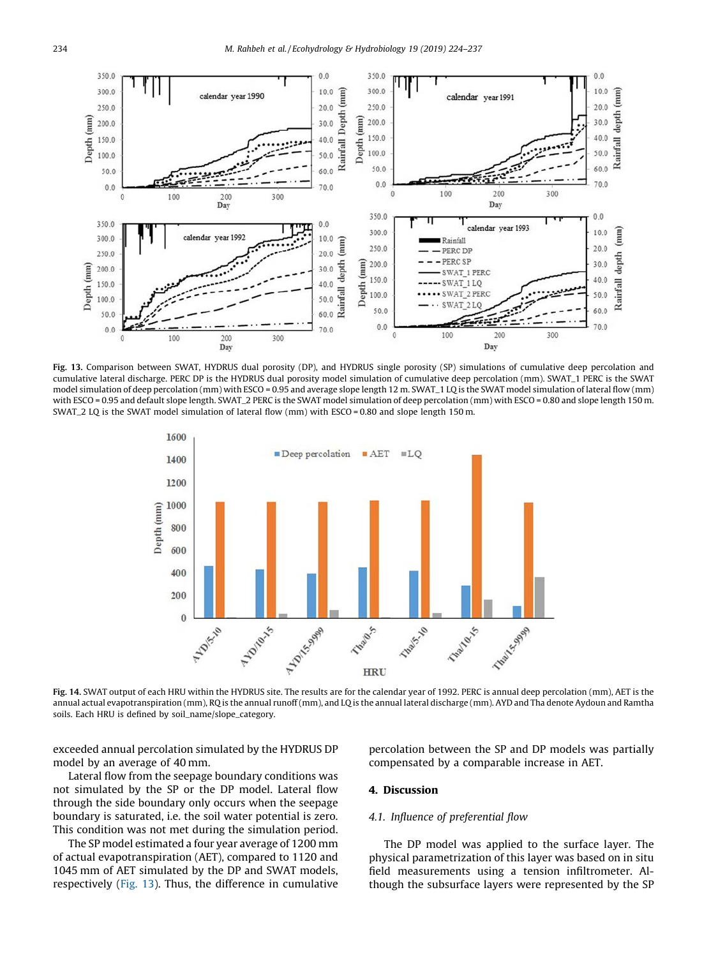<span id="page-10-0"></span>

Fig. 13. Comparison between SWAT, HYDRUS dual porosity (DP), and HYDRUS single porosity (SP) simulations of cumulative deep percolation and cumulative lateral discharge. PERC DP is the HYDRUS dual porosity model simulation of cumulative deep percolation (mm). SWAT\_1 PERC is the SWAT model simulation of deep percolation (mm) with ESCO = 0.95 and average slope length 12 m. SWAT\_1 LQ is the SWAT model simulation of lateral flow (mm) with ESCO = 0.95 and default slope length. SWAT\_2 PERC is the SWAT model simulation of deep percolation (mm) with ESCO = 0.80 and slope length 150 m. SWAT\_2 LQ is the SWAT model simulation of lateral flow (mm) with ESCO = 0.80 and slope length 150 m.



Fig. 14. SWAT output of each HRU within the HYDRUS site. The results are for the calendar year of 1992. PERC is annual deep percolation (mm), AET is the annual actual evapotranspiration (mm), RQ is the annual runoff (mm), and LQ is the annual lateral discharge (mm). AYD and Tha denote Aydoun and Ramtha soils. Each HRU is defined by soil\_name/slope\_category.

exceeded annual percolation simulated by the HYDRUS DP model by an average of 40 mm.

Lateral flow from the seepage boundary conditions was not simulated by the SP or the DP model. Lateral flow through the side boundary only occurs when the seepage boundary is saturated, i.e. the soil water potential is zero. This condition was not met during the simulation period.

The SP model estimated a four year average of 1200 mm of actual evapotranspiration (AET), compared to 1120 and 1045 mm of AET simulated by the DP and SWAT models, respectively (Fig. 13). Thus, the difference in cumulative

percolation between the SP and DP models was partially compensated by a comparable increase in AET.

## 4. Discussion

## 4.1. Influence of preferential flow

The DP model was applied to the surface layer. The physical parametrization of this layer was based on in situ field measurements using a tension infiltrometer. Although the subsurface layers were represented by the SP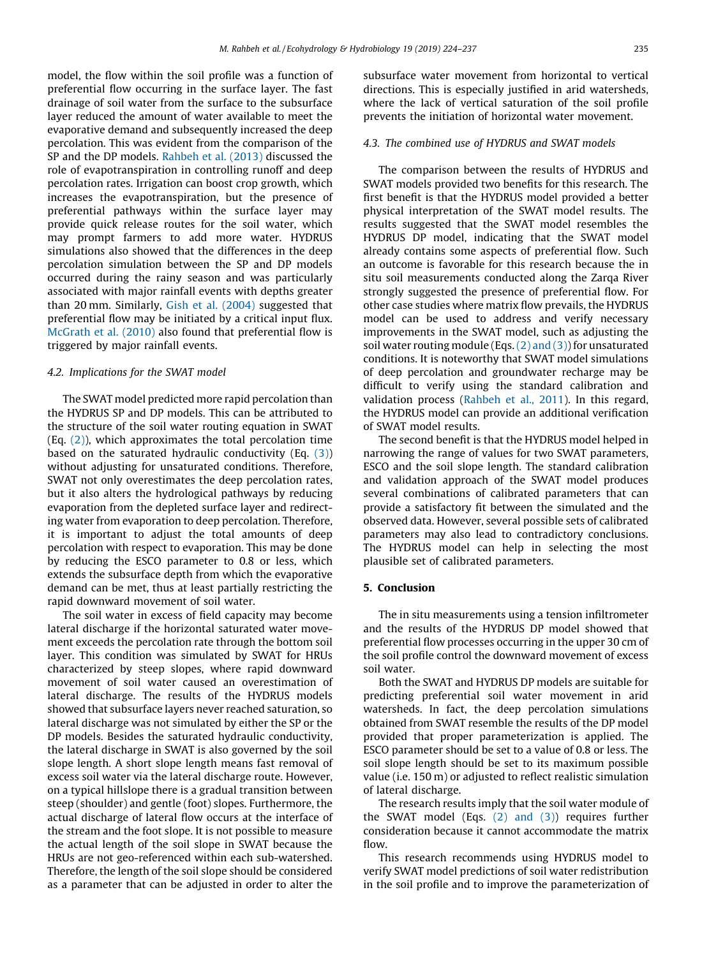model, the flow within the soil profile was a function of preferential flow occurring in the surface layer. The fast drainage of soil water from the surface to the subsurface layer reduced the amount of water available to meet the evaporative demand and subsequently increased the deep percolation. This was evident from the comparison of the SP and the DP models. [Rahbeh et al. \(2013\)](#page-13-0) discussed the role of evapotranspiration in controlling runoff and deep percolation rates. Irrigation can boost crop growth, which increases the evapotranspiration, but the presence of preferential pathways within the surface layer may provide quick release routes for the soil water, which may prompt farmers to add more water. HYDRUS simulations also showed that the differences in the deep percolation simulation between the SP and DP models occurred during the rainy season and was particularly associated with major rainfall events with depths greater than 20 mm. Similarly, [Gish et al. \(2004\)](#page-12-0) suggested that preferential flow may be initiated by a critical input flux. [McGrath et al. \(2010\)](#page-12-0) also found that preferential flow is triggered by major rainfall events.

## 4.2. Implications for the SWAT model

The SWAT model predicted more rapid percolation than the HYDRUS SP and DP models. This can be attributed to the structure of the soil water routing equation in SWAT  $(Eq, (2))$  $(Eq, (2))$ , which approximates the total percolation time based on the saturated hydraulic conductivity  $(Eq, (3))$  $(Eq, (3))$ without adjusting for unsaturated conditions. Therefore, SWAT not only overestimates the deep percolation rates, but it also alters the hydrological pathways by reducing evaporation from the depleted surface layer and redirecting water from evaporation to deep percolation. Therefore, it is important to adjust the total amounts of deep percolation with respect to evaporation. This may be done by reducing the ESCO parameter to 0.8 or less, which extends the subsurface depth from which the evaporative demand can be met, thus at least partially restricting the rapid downward movement of soil water.

The soil water in excess of field capacity may become lateral discharge if the horizontal saturated water movement exceeds the percolation rate through the bottom soil layer. This condition was simulated by SWAT for HRUs characterized by steep slopes, where rapid downward movement of soil water caused an overestimation of lateral discharge. The results of the HYDRUS models showed that subsurface layers never reached saturation, so lateral discharge was not simulated by either the SP or the DP models. Besides the saturated hydraulic conductivity, the lateral discharge in SWAT is also governed by the soil slope length. A short slope length means fast removal of excess soil water via the lateral discharge route. However, on a typical hillslope there is a gradual transition between steep (shoulder) and gentle (foot) slopes. Furthermore, the actual discharge of lateral flow occurs at the interface of the stream and the foot slope. It is not possible to measure the actual length of the soil slope in SWAT because the HRUs are not geo-referenced within each sub-watershed. Therefore, the length of the soil slope should be considered as a parameter that can be adjusted in order to alter the

subsurface water movement from horizontal to vertical directions. This is especially justified in arid watersheds, where the lack of vertical saturation of the soil profile prevents the initiation of horizontal water movement.

## 4.3. The combined use of HYDRUS and SWAT models

The comparison between the results of HYDRUS and SWAT models provided two benefits for this research. The first benefit is that the HYDRUS model provided a better physical interpretation of the SWAT model results. The results suggested that the SWAT model resembles the HYDRUS DP model, indicating that the SWAT model already contains some aspects of preferential flow. Such an outcome is favorable for this research because the in situ soil measurements conducted along the Zarqa River strongly suggested the presence of preferential flow. For other case studies where matrix flow prevails, the HYDRUS model can be used to address and verify necessary improvements in the SWAT model, such as adjusting the soil water routing module (Eqs.  $(2)$  and  $(3)$ ) for unsaturated conditions. It is noteworthy that SWAT model simulations of deep percolation and groundwater recharge may be difficult to verify using the standard calibration and validation process ([Rahbeh et al., 2011\)](#page-13-0). In this regard, the HYDRUS model can provide an additional verification of SWAT model results.

The second benefit is that the HYDRUS model helped in narrowing the range of values for two SWAT parameters, ESCO and the soil slope length. The standard calibration and validation approach of the SWAT model produces several combinations of calibrated parameters that can provide a satisfactory fit between the simulated and the observed data. However, several possible sets of calibrated parameters may also lead to contradictory conclusions. The HYDRUS model can help in selecting the most plausible set of calibrated parameters.

## 5. Conclusion

The in situ measurements using a tension infiltrometer and the results of the HYDRUS DP model showed that preferential flow processes occurring in the upper 30 cm of the soil profile control the downward movement of excess soil water.

Both the SWAT and HYDRUS DP models are suitable for predicting preferential soil water movement in arid watersheds. In fact, the deep percolation simulations obtained from SWAT resemble the results of the DP model provided that proper parameterization is applied. The ESCO parameter should be set to a value of 0.8 or less. The soil slope length should be set to its maximum possible value (i.e. 150 m) or adjusted to reflect realistic simulation of lateral discharge.

The research results imply that the soil water module of the SWAT model (Eqs.  $(2)$  and  $(3)$ ) requires further consideration because it cannot accommodate the matrix flow.

This research recommends using HYDRUS model to verify SWAT model predictions of soil water redistribution in the soil profile and to improve the parameterization of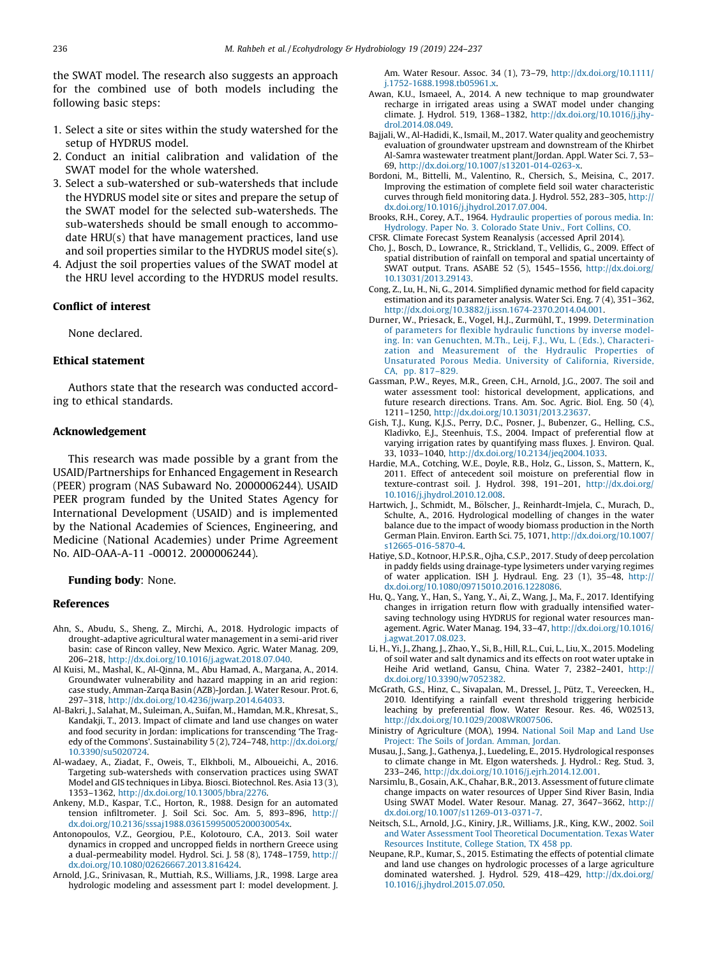<span id="page-12-0"></span>the SWAT model. The research also suggests an approach for the combined use of both models including the following basic steps:

- 1. Select a site or sites within the study watershed for the setup of HYDRUS model.
- 2. Conduct an initial calibration and validation of the SWAT model for the whole watershed.
- 3. Select a sub-watershed or sub-watersheds that include the HYDRUS model site or sites and prepare the setup of the SWAT model for the selected sub-watersheds. The sub-watersheds should be small enough to accommodate HRU(s) that have management practices, land use and soil properties similar to the HYDRUS model site(s).
- 4. Adjust the soil properties values of the SWAT model at the HRU level according to the HYDRUS model results.

## Conflict of interest

None declared.

## Ethical statement

Authors state that the research was conducted according to ethical standards.

## Acknowledgement

This research was made possible by a grant from the USAID/Partnerships for Enhanced Engagement in Research (PEER) program (NAS Subaward No. 2000006244). USAID PEER program funded by the United States Agency for International Development (USAID) and is implemented by the National Academies of Sciences, Engineering, and Medicine (National Academies) under Prime Agreement No. AID-OAA-A-11 -00012. 2000006244).

## Funding body: None.

#### References

- Ahn, S., Abudu, S., Sheng, Z., Mirchi, A., 2018. Hydrologic impacts of drought-adaptive agricultural water management in a semi-arid river basin: case of Rincon valley, New Mexico. Agric. Water Manag. 209, 206–218, <http://dx.doi.org/10.1016/j.agwat.2018.07.040>.
- Al Kuisi, M., Mashal, K., Al-Qinna, M., Abu Hamad, A., Margana, A., 2014. Groundwater vulnerability and hazard mapping in an arid region: case study, Amman-Zarqa Basin (AZB)-Jordan. J. Water Resour. Prot. 6, 297–318, <http://dx.doi.org/10.4236/jwarp.2014.64033>.
- Al-Bakri, J., Salahat, M., Suleiman, A., Suifan, M., Hamdan, M.R., Khresat, S., Kandakji, T., 2013. Impact of climate and land use changes on water and food security in Jordan: implications for transcending 'The Tragedy of the Commons'. Sustainability 5 (2), 724–748, [http://dx.doi.org/](http://dx.doi.org/10.3390/su5020724) [10.3390/su5020724](http://dx.doi.org/10.3390/su5020724).
- Al-wadaey, A., Ziadat, F., Oweis, T., Elkhboli, M., Alboueichi, A., 2016. Targeting sub-watersheds with conservation practices using SWAT Model and GIS techniques in Libya. Biosci. Biotechnol. Res. Asia 13 (3), 1353–1362, [http://dx.doi.org/10.13005/bbra/2276.](http://dx.doi.org/10.13005/bbra/2276)
- Ankeny, M.D., Kaspar, T.C., Horton, R., 1988. Design for an automated tension infiltrometer. J. Soil Sci. Soc. Am. 5, 893–896, [http://](http://dx.doi.org/10.2136/sssaj1988.03615995005200030054x) [dx.doi.org/10.2136/sssaj1988.03615995005200030054x.](http://dx.doi.org/10.2136/sssaj1988.03615995005200030054x)
- Antonopoulos, V.Z., Georgiou, P.E., Kolotouro, C.A., 2013. Soil water dynamics in cropped and uncropped fields in northern Greece using a dual-permeability model. Hydrol. Sci. J. 58 (8), 1748–1759, [http://](http://dx.doi.org/10.1080/02626667.2013.816424) [dx.doi.org/10.1080/02626667.2013.816424](http://dx.doi.org/10.1080/02626667.2013.816424).
- Arnold, J.G., Srinivasan, R., Muttiah, R.S., Williams, J.R., 1998. Large area hydrologic modeling and assessment part I: model development. J.

Am. Water Resour. Assoc. 34 (1), 73–79, [http://dx.doi.org/10.1111/](http://dx.doi.org/10.1111/j.1752-1688.1998.tb05961.x) [j.1752-1688.1998.tb05961.x.](http://dx.doi.org/10.1111/j.1752-1688.1998.tb05961.x)

- Awan, K.U., Ismaeel, A., 2014. A new technique to map groundwater recharge in irrigated areas using a SWAT model under changing climate. J. Hydrol. 519, 1368–1382, [http://dx.doi.org/10.1016/j.jhy](http://dx.doi.org/10.1016/j.jhydrol.2014.08.049)[drol.2014.08.049.](http://dx.doi.org/10.1016/j.jhydrol.2014.08.049)
- Bajjali, W., Al-Hadidi, K., Ismail, M., 2017. Water quality and geochemistry evaluation of groundwater upstream and downstream of the Khirbet Al-Samra wastewater treatment plant/Jordan. Appl. Water Sci. 7, 53– 69, <http://dx.doi.org/10.1007/s13201-014-0263-x>.
- Bordoni, M., Bittelli, M., Valentino, R., Chersich, S., Meisina, C., 2017. Improving the estimation of complete field soil water characteristic curves through field monitoring data. J. Hydrol. 552, 283–305, [http://](http://dx.doi.org/10.1016/j.jhydrol.2017.07.004) [dx.doi.org/10.1016/j.jhydrol.2017.07.004.](http://dx.doi.org/10.1016/j.jhydrol.2017.07.004)
- Brooks, R.H., Corey, A.T., 1964. [Hydraulic properties of porous media. In:](http://refhub.elsevier.com/S1642-3593(18)30117-4/sbref0055) [Hydrology. Paper No. 3. Colorado State Univ., Fort Collins, CO.](http://refhub.elsevier.com/S1642-3593(18)30117-4/sbref0055)
- CFSR. Climate Forecast System Reanalysis (accessed April 2014). Cho, J., Bosch, D., Lowrance, R., Strickland, T., Vellidis, G., 2009. Effect of spatial distribution of rainfall on temporal and spatial uncertainty of
- SWAT output. Trans. ASABE 52 (5), 1545–1556, [http://dx.doi.org/](http://dx.doi.org/10.13031/2013.29143) [10.13031/2013.29143](http://dx.doi.org/10.13031/2013.29143). Cong, Z., Lu, H., Ni, G., 2014. Simplified dynamic method for field capacity
- estimation and its parameter analysis. Water Sci. Eng. 7 (4), 351–362, [http://dx.doi.org/10.3882/j.issn.1674-2370.2014.04.001.](http://dx.doi.org/10.3882/j.issn.1674-2370.2014.04.001)
- Durner, W., Priesack, E., Vogel, H.J., Zurmühl, T., 1999. [Determination](http://refhub.elsevier.com/S1642-3593(18)30117-4/sbref0080) [of parameters for flexible hydraulic functions by inverse model](http://refhub.elsevier.com/S1642-3593(18)30117-4/sbref0080)[ing. In: van Genuchten, M.Th., Leij, F.J., Wu, L. \(Eds.\), Characteri-](http://refhub.elsevier.com/S1642-3593(18)30117-4/sbref0080)[zation and Measurement of the Hydraulic Properties of](http://refhub.elsevier.com/S1642-3593(18)30117-4/sbref0080) [Unsaturated Porous Media. University of California, Riverside,](http://refhub.elsevier.com/S1642-3593(18)30117-4/sbref0080) [CA, pp. 817–829.](http://refhub.elsevier.com/S1642-3593(18)30117-4/sbref0080)
- Gassman, P.W., Reyes, M.R., Green, C.H., Arnold, J.G., 2007. The soil and water assessment tool: historical development, applications, and future research directions. Trans. Am. Soc. Agric. Biol. Eng. 50 (4), 1211–1250, [http://dx.doi.org/10.13031/2013.23637.](http://dx.doi.org/10.13031/2013.23637)
- Gish, T.J., Kung, K.J.S., Perry, D.C., Posner, J., Bubenzer, G., Helling, C.S., Kladivko, E.J., Steenhuis, T.S., 2004. Impact of preferential flow at varying irrigation rates by quantifying mass fluxes. J. Environ. Qual. 33, 1033–1040, <http://dx.doi.org/10.2134/jeq2004.1033>.
- Hardie, M.A., Cotching, W.E., Doyle, R.B., Holz, G., Lisson, S., Mattern, K., 2011. Effect of antecedent soil moisture on preferential flow in texture-contrast soil. J. Hydrol. 398, 191–201, [http://dx.doi.org/](http://dx.doi.org/10.1016/j.jhydrol.2010.12.008) [10.1016/j.jhydrol.2010.12.008](http://dx.doi.org/10.1016/j.jhydrol.2010.12.008).
- Hartwich, J., Schmidt, M., Bölscher, J., Reinhardt-Imjela, C., Murach, D., Schulte, A., 2016. Hydrological modelling of changes in the water balance due to the impact of woody biomass production in the North German Plain. Environ. Earth Sci. 75, 1071, [http://dx.doi.org/10.1007/](http://dx.doi.org/10.1007/s12665-016-5870-4) [s12665-016-5870-4](http://dx.doi.org/10.1007/s12665-016-5870-4).
- Hatiye, S.D., Kotnoor, H.P.S.R., Ojha, C.S.P., 2017. Study of deep percolation in paddy fields using drainage-type lysimeters under varying regimes of water application. ISH J. Hydraul. Eng. 23 (1), 35–48, [http://](http://dx.doi.org/10.1080/09715010.2016.1228086) [dx.doi.org/10.1080/09715010.2016.1228086](http://dx.doi.org/10.1080/09715010.2016.1228086).
- Hu, Q., Yang, Y., Han, S., Yang, Y., Ai, Z., Wang, J., Ma, F., 2017. Identifying changes in irrigation return flow with gradually intensified watersaving technology using HYDRUS for regional water resources management. Agric. Water Manag. 194, 33–47, [http://dx.doi.org/10.1016/](http://dx.doi.org/10.1016/j.agwat.2017.08.023) [j.agwat.2017.08.023.](http://dx.doi.org/10.1016/j.agwat.2017.08.023)
- Li, H., Yi, J., Zhang, J., Zhao, Y., Si, B., Hill, R.L., Cui, L., Liu, X., 2015. Modeling of soil water and salt dynamics and its effects on root water uptake in Heihe Arid wetland, Gansu, China. Water 7, 2382–2401, [http://](http://dx.doi.org/10.3390/w7052382) [dx.doi.org/10.3390/w7052382.](http://dx.doi.org/10.3390/w7052382)
- McGrath, G.S., Hinz, C., Sivapalan, M., Dressel, J., Pütz, T., Vereecken, H., 2010. Identifying a rainfall event threshold triggering herbicide leaching by preferential flow. Water Resour. Res. 46, W02513, <http://dx.doi.org/10.1029/2008WR007506>.
- Ministry of Agriculture (MOA), 1994. [National Soil Map and Land Use](http://refhub.elsevier.com/S1642-3593(18)30117-4/sbref0130) [Project: The Soils of Jordan. Amman, Jordan](http://refhub.elsevier.com/S1642-3593(18)30117-4/sbref0130).
- Musau, J., Sang, J., Gathenya, J., Luedeling, E., 2015. Hydrological responses to climate change in Mt. Elgon watersheds. J. Hydrol.: Reg. Stud. 3, 233–246, [http://dx.doi.org/10.1016/j.ejrh.2014.12.001.](http://dx.doi.org/10.1016/j.ejrh.2014.12.001)
- Narsimlu, B., Gosain, A.K., Chahar, B.R., 2013. Assessment of future climate change impacts on water resources of Upper Sind River Basin, India Using SWAT Model. Water Resour. Manag. 27, 3647–3662, [http://](http://dx.doi.org/10.1007/s11269-013-0371-7) [dx.doi.org/10.1007/s11269-013-0371-7](http://dx.doi.org/10.1007/s11269-013-0371-7).
- Neitsch, S.L., Arnold, J.G., Kiniry, J.R., Williams, J.R., King, K.W., 2002. [Soil](http://refhub.elsevier.com/S1642-3593(18)30117-4/sbref0145) [and Water Assessment Tool Theoretical Documentation. Texas Water](http://refhub.elsevier.com/S1642-3593(18)30117-4/sbref0145) [Resources Institute, College Station, TX 458 pp.](http://refhub.elsevier.com/S1642-3593(18)30117-4/sbref0145)
- Neupane, R.P., Kumar, S., 2015. Estimating the effects of potential climate and land use changes on hydrologic processes of a large agriculture dominated watershed. J. Hydrol. 529, 418–429, [http://dx.doi.org/](http://dx.doi.org/10.1016/j.jhydrol.2015.07.050) [10.1016/j.jhydrol.2015.07.050](http://dx.doi.org/10.1016/j.jhydrol.2015.07.050).